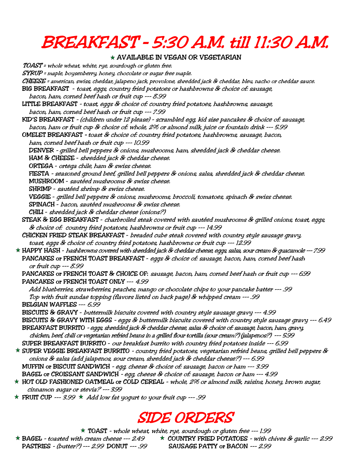### BREAKFAST – 5:30 A.M. till 11:30 A.M.

#### $\star$  AVAILABLE IN VEGAN OR VEGETARIAN

 TOAST = whole wheat, white, rye, sourdough or gluten free. SYRUP = maple, boysenberry, honey, chocolate or sugar free maple. CHEESE = american, swiss, cheddar, jalapeno jack, provolone, shredded jack & cheddar, bleu, nacho or cheddar sauce. BIG BREAKFAST - toast, eggs, country fried potatoes or hashbrowns & choice of: sausage, bacon, ham, corned beef hash or fruit cup --- 8.99 LITTLE BREAKFAST - toast, eggs & choice of: country fried potatoes, hashbrowns, sausage, bacon, ham, corned beef hash or fruit cup --- 7.99 KID'S BREAKFAST - (children under 12 please) - scrambled egg, kid size pancakes & choice of: sausage, bacon, ham or fruit cup & choice of: whole, 2% or almond milk, juice or fountain drink --- 5.99 OMELET BREAKFAST – toast & choice of: country fried potatoes, hashbrowns, sausage, bacon, ham, corned beef hash or fruit cup --- 10.99 DENVER - grilled bell peppers & onions, mushrooms, ham, shredded jack & cheddar cheese. HAM & CHEESE - shredded jack & cheddar cheese. ORTEGA - ortega chile, ham & swiss cheese. FIESTA - seasoned ground beef, grilled bell peppers & onions, salsa, shredded jack & cheddar cheese. MUSHROOM - sautéed mushrooms & swiss cheese. SHRIMP - sautéed shrimp & swiss cheese. VEGGIE - grilled bell peppers & onions, mushrooms, broccoli, tomatoes, spinach & swiss cheese. SPINACH - bacon, sautéed mushrooms & swiss cheese. CHILI - shredded jack & cheddar cheese (onions?) STEAK & EGG BREAKFAST - charbroiled steak covered with sautéed mushrooms & grilled onions, toast, eggs, & choice of: country fried potatoes, hashbrowns or fruit cup --- 14.99 CHICKEN FRIED STEAK BREAKFAST - breaded cube steak covered with country style sausage gravy, toast, eggs & choice of: country fried potatoes, hashbrowns or fruit cup --- 12.99 HAPPY HASH - hashbrowns covered with shredded jack & cheddar cheese, eggs, salsa, sour cream & guacamole --- 7.99 PANCAKES or FRENCH TOAST BREAKFAST - eggs & choice of: sausage, bacon, ham, corned beef hash or fruit cup --- 8.99 PANCAKES or FRENCH TOAST & CHOICE OF: sausage, bacon, ham, corned beef hash or fruit cup --- 6.99 PANCAKES or FRENCH TOAST ONLY --- 4.99 Add blueberries, strawberries, peaches, mango or chocolate chips to your pancake batter --- .99 Top with fruit sundae topping (flavors listed on back page) & whipped cream --- .99 BELGIAN WAFFLES --- 6.99 BISCUITS & GRAVY - buttermilk biscuits covered with country style sausage gravy --- 4.99 BISCUITS & GRAVY WITH EGGS - eggs & buttermilk biscuits covered with country style sausage gravy --- 6.49 BREAKFAST BURRITO - eggs, shredded jack & cheddar cheese, salsa & choice of: sausage, bacon, ham, gravy, chicken, beef, chili or vegetarian refried beans in a grilled flour tortilla (sour cream?) (jalapenos?) --- 5.99 SUPER BREAKFAST BURRITO - our breakfast burrito with country fried potatoes inside --- 6.99  $\star$  SUPER VEGGIE BREAKFAST BURRITO - country fried potatoes, vegetarian refried beans, grilled bell peppers & onions & salsa (add jalapenos, sour cream, shredded jack & cheddar cheese?) --- 6.99 MUFFIN or BISCUIT SANDWICH - egg, cheese & choice of: sausage, bacon or ham --- 3.99 BAGEL or CROISSANT SANDWICH - egg, cheese & choice of: sausage, bacon or ham --- 4.99  $\star$  HOT OLD FASHIONED OATMEAL or COLD CEREAL - whole, 2% or almond milk, raisins, honey, brown sugar, cinnamon sugar or stevia? --- 3.99

 $*$  FRUIT CUP --- 3.99  $*$  Add low fat yogurt to your fruit cup --- .99

#### SIDE ORDERS

 $\star$  TOAST - whole wheat, white, rye, sourdough or gluten free --- 1.99  $\star$  BAGEL - toasted with cream cheese --- 2.49  $\star$  COUNTRY FRIED POTATOES - with chives & garlic --- 2.99 PASTRIES - (butter?) --- 2.99 DONUT --- .99 SAUSAGE PATTY or BACON --- 2.99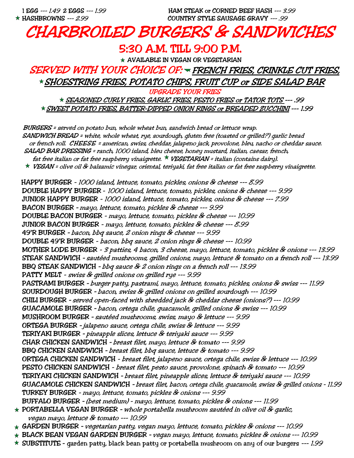1 EGG --- 1.49 2 EGGS --- 1.99 HAM STEAK or CORNED BEEF HASH --- 3.99 HASHBROWNS --- 2.99 COUNTRY STYLE SAUSAGE GRAVY --- .99

### CHARBROILED BURGERS & SANDWICHES

#### 5:30 A.M. TILL 9:00 P.M.

 $\star$  AVAILABLE IN VEGAN OR VEGETARIAN

SERVED WITH YOUR CHOICE OF: FRENCH FRIES, CRINKLE CUT FRIES, SHOESTRING FRIES, POTATO CHIPS, FRUIT CUP or SIDE SALAD BAR

UPGRADE YOUR FRIES SEASONED CURLY FRIES, GARLIC FRIES, PESTO FRIES or TATOR TOTS --- .99 SWEET POTATO FRIES, BATTER-DIPPED ONION RINGS or BREADED ZUCCHINI --- 1.99

 BURGERS = served on potato bun, whole wheat bun, sandwich bread or lettuce wrap. SANDWICH BREAD = white, whole wheat, rye, sourdough, gluten free (toasted or grilled?) garlic bread or french roll. CHEESE = american, swiss, cheddar, jalapeno jack, provolone, bleu, nacho or cheddar sauce. SALAD BAR DRESSING = ranch, 1000 island, bleu cheese, honey mustard, italian, caesar, french, fat free italian or fat free raspberry vinaigrette.  $\star$  VEGETARIAN = italian (contains dairy). VEGAN = olive oil & balsamic vinegar, oriental, teriyaki, fat free italian or fat free raspberry vinaigrette. HAPPY BURGER - 1000 island, lettuce, tomato, pickles, onions & cheese --- 8.99 DOUBLE HAPPY BURGER - 1000 island, lettuce, tomato, pickles, onions & cheese --- 9.99 JUNIOR HAPPY BURGER - 1000 island, lettuce, tomato, pickles, onions & cheese --- 7.99 BACON BURGER – mayo, lettuce, tomato, pickles & cheese --- 9.99 DOUBLE BACON BURGER - mayo, lettuce, tomato, pickles & cheese --- 10.99 JUNIOR BACON BURGER - mayo, lettuce, tomato, pickles & cheese --- 8.99 49'R BURGER – bacon, bbq sauce, 2 onion rings & cheese --- 9.99 DOUBLE 49'R BURGER - bacon, bbq sauce, 2 onion rings & cheese --- 10.99 MOTHER LODE BURGER - 3 patties, 4 bacon, 3 cheese, mayo, lettuce, tomato, pickles & onions --- 13.99 STEAK SANDWICH – sautéed mushrooms, grilled onions, mayo, lettuce & tomato on a french roll --- 13.99 BBQ STEAK SANDWICH – bbq sauce & 2 onion rings on a french roll --- 13.99 PATTY MELT - swiss & grilled onions on grilled rye --- 9.99 PASTRAMI BURGER – burger patty, pastrami, mayo, lettuce, tomato, pickles, onions & swiss --- 11.99 SOURDOUGH BURGER – bacon, swiss & grilled onions on grilled sourdough --- 10.99 CHILI BURGER – served open-faced with shredded jack & cheddar cheese (onions?) --- 10.99 GUACAMOLE BURGER – bacon, ortega chile, guacamole, grilled onions & swiss --- 10.99 MUSHROOM BURGER – sautéed mushrooms, swiss, mayo & lettuce --- 9.99 ORTEGA BURGER – jalapeno sauce, ortega chile, swiss & lettuce --- 9.99 TERIYAKI BURGER – pineapple slices, lettuce & teriyaki sauce --- 9.99 CHAR CHICKEN SANDWICH – breast filet, mayo, lettuce & tomato --- 9.99 BBQ CHICKEN SANDWICH – breast filet, bbq sauce, lettuce & tomato --- 9.99 ORTEGA CHICKEN SANDWICH - breast filet, jalapeno sauce, ortega chile, swiss & lettuce --- 10.99 PESTO CHICKEN SANDWICH - breast filet, pesto sauce, provolone, spinach & tomato --- 10.99 TERIYAKI CHICKEN SANDWICH – breast filet, pineapple slices, lettuce & teriyaki sauce --- 10.99 GUACAMOLE CHICKEN SANDWICH – breast filet, bacon, ortega chile, guacamole, swiss & grilled onions - 11.99 TURKEY BURGER - mayo, lettuce, tomato, pickles & onions --- 9.99 BUFFALO BURGER – (best medium) - mayo, lettuce, tomato, pickles & onions --- 11.99 PORTABELLA VEGAN BURGER – whole portabella mushroom sautéed in olive oil & garlic, vegan mayo, lettuce & tomato --- 10.99  $\star$  GARDEN BURGER - vegetarian patty, vegan mayo, lettuce, tomato, pickles & onions --- 10.99

- ★ BLACK BEAN VEGAN GARDEN BURGER vegan mayo, lettuce, tomato, pickles & onions --- 10.99
- $\star$  SUBSTITUTE garden patty, black bean patty or portabella mushroom on any of our burgers --- 1.99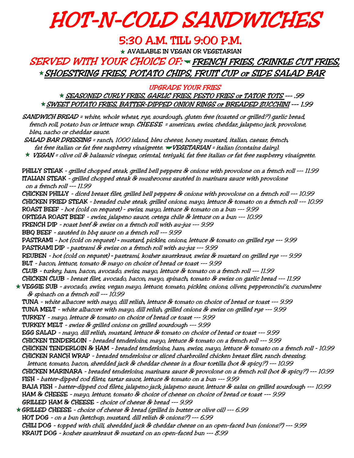## HOT-N-COLD SANDWICHES

#### 5:30 A.M. TILL 9:00 P.M.

 $\star$  AVAILABLE IN VEGAN OR VEGETARIAN

#### SERVED WITH YOUR CHOICE OF: FRENCH FRIES, CRINKLE CUT FRIES, SHOESTRING FRIES, POTATO CHIPS, FRUIT CUP or SIDE SALAD BAR

UPGRADE YOUR FRIES

SEASONED CURLY FRIES, GARLIC FRIES, PESTO FRIES or TATOR TOTS --- .99 SWEET POTATO FRIES, BATTER-DIPPED ONION RINGS or BREADED ZUCCHINI --- 1.99

 SANDWICH BREAD = white, whole wheat, rye, sourdough, gluten free (toasted or grilled?) garlic bread, french roll, potato bun or lettuce wrap. CHEESE = american, swiss, cheddar, jalapeno jack, provolone, bleu, nacho or cheddar sauce.

 SALAD BAR DRESSING = ranch, 1000 island, bleu cheese, honey mustard, italian, caesar, french, fat free italian or fat free raspberry vinaigrette.  $\blacktriangledown$ VEGETARIAN = italian (contains dairy).

 $\star$  VEGAN = olive oil & balsamic vinegar, oriental, teriyaki, fat free italian or fat free raspberry vinaigrette.

PHILLY STEAK - grilled chopped steak, grilled bell peppers & onions with provolone on a french roll --- 11.99 ITALIAN STEAK - grilled chopped steak & mushrooms sautéed in marinara sauce with provolone on a french roll --- 11.99 CHICKEN PHILLY - diced breast filet, grilled bell peppers & onions with provolone on a french roll --- 10.99 CHICKEN FRIED STEAK - breaded cube steak, grilled onions, mayo, lettuce & tomato on a french roll --- 10.99 ROAST BEEF - hot (cold on request) - swiss, mayo, lettuce & tomato on a bun --- 9.99 ORTEGA ROAST BEEF - swiss, jalapeno sauce, ortega chile & lettuce on a bun --- 10.99 FRENCH DIP - roast beef & swiss on a french roll with au-jus --- 9.99 BBQ BEEF - sautéed in bbq sauce on a french roll --- 9.99 PASTRAMI - hot (cold on request) – mustard, pickles, onions, lettuce & tomato on grilled rye --- 9.99 PASTRAMI DIP - pastrami & swiss on a french roll with au-jus --- 9.99 REUBEN - hot (cold on request) – pastrami, kosher sauerkraut, swiss & mustard on grilled rye --- 9.99 BLT - bacon, lettuce, tomato & mayo on choice of bread or toast --- 9.99 CLUB - turkey, ham, bacon, avocado, swiss, mayo, lettuce & tomato on a french roll --- 11.99 CHICKEN CLUB - breast filet, avocado, bacon, mayo, spinach, tomato & swiss on garlic bread --- 11.99 VEGGIE SUB - avocado, swiss, vegan mayo, lettuce, tomato, pickles, onions, olives, pepperoncini's, cucumbers & spinach on a french roll --- 10.99 TUNA - white albacore with mayo, dill relish, lettuce & tomato on choice of bread or toast --- 9.99 TUNA MELT - white albacore with mayo, dill relish, grilled onions & swiss on grilled rye --- 9.99 TURKEY - mayo, lettuce & tomato on choice of bread or toast --- 9.99 TURKEY MELT - swiss & grilled onions on grilled sourdough --- 9.99 EGG SALAD - mayo, dill relish, mustard, lettuce & tomato on choice of bread or toast --- 9.99 CHICKEN TENDERLOIN - breaded tenderloins, mayo, lettuce & tomato on a french roll --- 9.99 CHICKEN TENDERLOIN & HAM - breaded tenderloins, ham, swiss, mayo, lettuce & tomato on a french roll - 10.99 CHICKEN RANCH WRAP - breaded tenderloins or sliced charbroiled chicken breast filet, ranch dressing, lettuce, tomato, bacon, shredded jack & cheddar cheese in a flour tortilla (hot & spicy?) --- 10.99 CHICKEN MARINARA - breaded tenderloins, marinara sauce & provolone on a french roll (hot & spicy?) --- 10.99 FISH - batter-dipped cod filets, tartar sauce, lettuce & tomato on a bun --- 9.99 BAJA FISH - batter-dipped cod filets, jalapeno jack, jalapeno sauce, lettuce & salsa on grilled sourdough --- 10.99 HAM & CHEESE - mayo, lettuce, tomato & choice of cheese on choice of bread or toast --- 9.99 GRILLED HAM & CHEESE - choice of cheese & bread --- 9.99 GRILLED CHEESE - choice of cheese & bread (grilled in butter or olive oil) --- 6.99 HOT DOG - on a bun (ketchup, mustard, dill relish & onions?) --- 6.99 CHILI DOG - topped with chili, shredded jack & cheddar cheese on an open-faced bun (onions?) --- 9.99 KRAUT DOG - kosher sauerkraut & mustard on an open-faced bun --- 8.99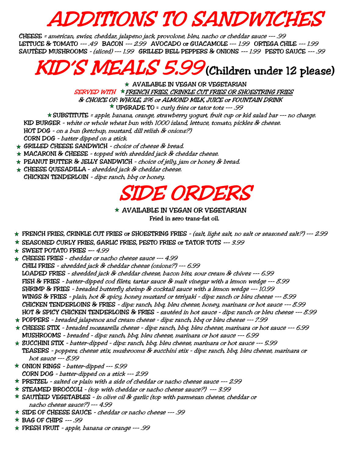## **ADDITIONS TO SANDWICHE.**

 CHEESE = american, swiss, cheddar, jalapeno jack, provolone, bleu, nacho or cheddar sauce --- .99 LETTUCE & TOMATO ---. 49 BACON --- 2.99 AVOCADO or GUACAMOLE --- 1.99 ORTEGA CHILE --- 1.99 SAUTÉED MUSHROOMS - (sliced) --- 1.99 GRILLED BELL PEPPERS & ONIONS --- 1.99 PESTO SAUCE --- .99

## KID'S MEALS 5.99 (Children under 12 please)

 $\star$  AVAILABLE IN VEGAN OR VEGETARIAN SERVED WITH  $*$  FRENCH FRIES, CRINKLE CUT FRIES OR SHOESTRING FRIES & CHOICE OF: WHOLE, 2% or ALMOND MILK, JUICE or FOUNTAIN DRINK

 $*$  UPGRADE TO = curly fries or tator tots ---.99

SUBSTITUTE = apple, banana, orange, strawberry yogurt, fruit cup or kid salad bar --- no charge. KID BURGER - white or whole wheat bun with 1000 island, lettuce, tomato, pickles & cheese. HOT DOG - on a bun (ketchup, mustard, dill relish & onions?) CORN DOG - batter dipped on a stick.

- $\star$  GRILLED CHEESE SANDWICH choice of cheese & bread.
- $\star$  MACARONI & CHEESE topped with shredded jack & cheddar cheese.
- $\star$  PEANUT BUTTER & JELLY SANDWICH choice of jelly, jam or honey & bread.
- CHEESE QUESADILLA shredded jack & cheddar cheese.
- CHICKEN TENDERLOIN dips: ranch, bbq or honey.

### SIDE ORDERS

#### $\star$  AVAILABLE IN VEGAN OR VEGETARIAN Fried in zero trans-fat oil.

- ¼FRENCH FRIES, CRINKLE CUT FRIES or SHOESTRING FRIES (salt, light salt, no salt or seasoned salt?) --- 2.99
- SEASONED CURLY FRIES, GARLIC FRIES, PESTO FRIES or TATOR TOTS --- 3.99
- $\star$  SWEET POTATO FRIES --- 4.99
- CHEESE FRIES cheddar or nacho cheese sauce --- 4.99 CHILI FRIES - shredded jack & cheddar cheese (onions?) --- 6.99 LOADED FRIES - shredded jack & cheddar cheese, bacon bits, sour cream & chives --- 6.99 FISH & FRIES - batter-dipped cod filets, tartar sauce & malt vinegar with a lemon wedge --- 8.99 SHRIMP & FRIES - breaded butterfly shrimp & cocktail sauce with a lemon wedge --- 10.99 WINGS & FRIES - plain, hot & spicy, honey mustard or teriyaki - dips: ranch or bleu cheese --- 8.99 CHICKEN TENDERLOINS & FRIES - dips: ranch, bbq, bleu cheese, honey, marinara or hot sauce --- 8.99 HOT & SPICY CHICKEN TENDERLOINS & FRIES - sautéed in hot sauce - dips: ranch or bleu cheese --- 8.99
- $\star$  POPPERS breaded jalapenos and cream cheese dips: ranch, bbq or bleu cheese --- 7.99
- CHEESE STIX breaded mozzarella cheese dips: ranch, bbq, bleu cheese, marinara or hot sauce --- 6.99 MUSHROOMS - breaded - dips: ranch, bbq, bleu cheese, marinara or hot sauce --- 6.99
- ZUCCHINI STIX batter-dipped dips: ranch, bbq, bleu cheese, marinara or hot sauce --- 5.99 TEASERS - poppers, cheese stix, mushrooms & zucchini stix - dips: ranch, bbq, bleu cheese, marinara or hot sauce --- 8.99
- ONION RINGS batter-dipped --- 5.99 CORN DOG - batter-dipped on a stick --- 2.99
- $*$  PRETZEL salted or plain with a side of cheddar or nacho cheese sauce --- 2.99
- STEAMED BROCCOLI (top with cheddar or nacho cheese sauce?) --- 3.99
- $\star$  SAUTÉED VEGETABLES in olive oil & garlic (top with parmesan cheese, cheddar or nacho cheese sauce?) --- 4.99
- SIDE OF CHEESE SAUCE cheddar or nacho cheese --- .99
- $\star$  BAG OF CHIPS ---. 99
- FRESH FRUIT apple, banana or orange --- .99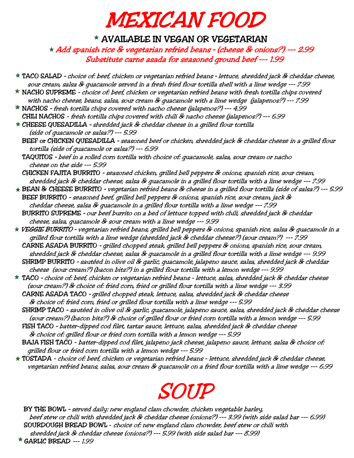## MEXICAN FOOD

#### $*$  AVAILABLE IN VEGAN OR VEGETARIAN

Add spanish rice & vegetarian refried beans – (cheese & onions?) --- 2.99 Substitute carne asada for seasoned ground beef --- 1.99

TACO SALAD – choice of: beef, chicken or vegetarian refried beans – lettuce, shredded jack & cheddar cheese, sour cream, salsa & guacamole served in a fresh fried flour tortilla shell with a lime wedge --- 7.99  $\star$  NACHO SUPREME - choice of: beef, chicken or vegetarian refried beans with fresh tortilla chips covered with nacho cheese, beans, salsa, sour cream & guacamole with a lime wedge (jalapenos?) --- 7.99  $\star$  NACHOS - fresh tortilla chips covered with nacho cheese (jalapenos?) --- 4.99 CHILI NACHOS - fresh tortilla chips covered with chili & nacho cheese (jalapenos?) --- 6.99 CHEESE QUESADILLA – shredded jack & cheddar cheese in a grilled flour tortilla (side of guacamole or salsa?) --- 5.99 BEEF or CHICKEN QUESADILLA – seasoned beef or chicken, shredded jack & cheddar cheese in a grilled flour tortilla (side of guacamole or salsa?) --- 6.99 TAQUITOS – beef in a rolled corn tortilla with choice of: guacamole, salsa, sour cream or nacho cheese on the side --- 5.99 CHICKEN FAJITA BURRITO – seasoned chicken, grilled bell peppers & onions, spanish rice, sour cream, shredded jack & cheddar cheese, salsa & guacamole in a grilled flour tortilla with a lime wedge --- 7.99 BEAN & CHEESE BURRITO – vegetarian refried beans & cheese in a grilled flour tortilla (side of salsa?) --- 5.99 BEEF BURRITO – seasoned beef, grilled bell peppers & onions, spanish rice, sour cream, jack & cheddar cheese, salsa & guacamole in a grilled flour tortilla with a lime wedge --- 7.99 BURRITO SUPREME – our beef burrito on a bed of lettuce topped with chili, shredded jack & cheddar cheese, salsa, guacamole & sour cream with a lime wedge --- 9.99 VEGGIE BURRITO – vegetarian refried beans, grilled bell peppers & onions, spanish rice, salsa & guacamole in a grilled flour tortilla with a lime wedge (shredded jack & cheddar cheese?) (sour cream?) --- 7.99 CARNE ASADA BURRITO – grilled chopped steak, grilled bell peppers & onions, spanish rice, sour cream, shredded jack & cheddar cheese, salsa & guacamole in a grilled flour tortilla with a lime wedge --- 9.99 SHRIMP BURRITO – sautéed in olive oil & garlic, guacamole, jalapeno sauce, salsa, shredded jack & cheddar cheese (sour cream?) (bacon bits?) in a grilled flour tortilla with a lemon wedge --- 9.99 TACO – choice of: beef, chicken or vegetarian refried beans - lettuce, salsa, shredded jack & cheddar cheese (sour cream?) & choice of: fried corn, fried or grilled flour tortilla with a lime wedge --- 3.99 CARNE ASADA TACO – grilled chopped steak, lettuce, salsa, shredded jack & cheddar cheese & choice of: fried corn, fried or grilled flour tortilla with a lime wedge --- 5.99 SHRIMP TACO – sautéed in olive oil & garlic, guacamole, jalapeno sauce, salsa, shredded jack & cheddar cheese (sour cream?) (bacon bits?) & choice of grilled flour or fried corn tortilla with a lemon wedge --- 5.99 FISH TACO – batter-dipped cod filet, tartar sauce, lettuce, salsa, shredded jack & cheddar cheese & choice of: grilled flour or fried corn tortilla with a lemon wedge --- 5.99 BAJA FISH TACO - batter-dipped cod filet, jalapeno jack cheese, jalapeno sauce, lettuce, salsa & choice of: grilled flour or fried corn tortilla with a lemon wedge --- 5.99 TOSTADA - choice of: beef, chicken or vegetarian refried beans - lettuce, shredded jack & cheddar cheese, vegetarian refried beans, salsa, sour cream & guacamole on a fried flour tortilla with a lime wedge --- 6.99

## SOUP

BY THE BOWL – served daily: new england clam chowder, chicken vegetable barley, beef stew or chili with shredded jack & cheddar cheese (onions?) --- 3.99 (with side salad bar --- 6.99) SOURDOUGH BREAD BOWL - choice of: new england clam chowder, beef stew or chili with shredded jack & cheddar cheese (onions?) --- 5.99 (with side salad bar --- 8.99)

\* GARLIC BREAD --- 1.99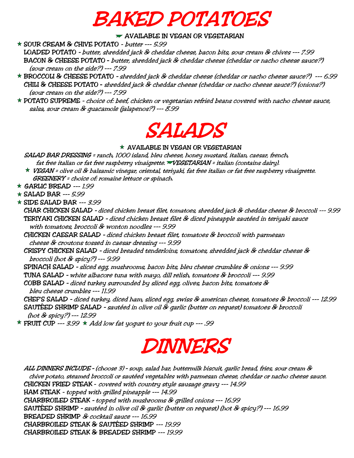## BAKED POTATOES

 $\blacktriangleright$  AVAILABLE IN VEGAN OR VEGETARIAN

SOUR CREAM & CHIVE POTATO - butter --- 5.99

LOADED POTATO – butter, shredded jack & cheddar cheese, bacon bits, sour cream & chives --- 7.99 BACON & CHEESE POTATO – butter, shredded jack & cheddar cheese (cheddar or nacho cheese sauce?) (sour cream on the side?) --- 7.99

- BROCCOLI & CHEESE POTATO shredded jack & cheddar cheese (cheddar or nacho cheese sauce?) --- 6.99 CHILI & CHEESE POTATO – shredded jack & cheddar cheese (cheddar or nacho cheese sauce?) (onions?) (sour cream on the side?) --- 7.99
- $\star$  POTATO SUPREME choice of: beef, chicken or vegetarian refried beans covered with nacho cheese sauce, salsa, sour cream & guacamole (jalapenos?) --- 8.99



#### $\star$  AVAILABLE IN VEGAN OR VEGETARIAN

 SALAD BAR DRESSING = ranch, 1000 island, bleu cheese, honey mustard, italian, caesar, french, fat free italian or fat free raspberry vinaigrette. VEGETARIAN = italian (contains dairy).

 $\star$  VEGAN = olive oil & balsamic vinegar, oriental, teriyaki, fat free italian or fat free raspberry vinaigrette. GREENERY = choice of: romaine lettuce or spinach.

 $\star$  GARLIC BREAD --- 1.99

 $\star$  SALAD BAR --- 5.99

 $\star$  SIDE SALAD BAR --- 3.99

- CHAR CHICKEN SALAD diced chicken breast filet, tomatoes, shredded jack & cheddar cheese & broccoli --- 9.99 TERIYAKI CHICKEN SALAD – diced chicken breast filet & diced pineapple sautéed in teriyaki sauce with tomatoes, broccoli & wonton noodles --- 9.99
- CHICKEN CAESAR SALAD diced chicken breast filet, tomatoes & broccoli with parmesan cheese & croutons tossed in caesar dressing --- 9.99

 CRISPY CHICKEN SALAD – diced breaded tenderloins, tomatoes, shredded jack & cheddar cheese & broccoli (hot & spicy?) --- 9.99

SPINACH SALAD – sliced egg, mushrooms, bacon bits, bleu cheese crumbles & onions --- 9.99

TUNA SALAD – white albacore tuna with mayo, dill relish, tomatoes & broccoli --- 9.99

COBB SALAD – diced turkey surrounded by sliced egg, olives, bacon bits, tomatoes & bleu cheese crumbles --- 11.99

 CHEF'S SALAD – diced turkey, diced ham, sliced egg, swiss & american cheese, tomatoes & broccoli --- 12.99 SAUTÉED SHRIMP SALAD – sautéed in olive oil & garlic (butter on request) tomatoes & broccoli (hot & spicy?) --- 12.99

**\* FRUIT CUP** --- 3.99  $\star$  Add low fat yogurt to your fruit cup --- .99

## DINNERS

 ALL DINNERS INCLUDE – (choose 3) – soup, salad bar, buttermilk biscuit, garlic bread, fries, sour cream & chive potato, steamed broccoli or sautéed vegetables with parmesan cheese, cheddar or nacho cheese sauce. CHICKEN FRIED STEAK - covered with country style sausage gravy --- 14.99 HAM STEAK - topped with grilled pineapple --- 14.99 CHARBROILED STEAK – topped with mushrooms & grilled onions --- 16.99 SAUTÉED SHRIMP – sautéed in olive oil & garlic (butter on request) (hot & spicy?) --- 16.99 BREADED SHRIMP & cocktail sauce --- 16.99 CHARBROILED STEAK & SAUTÉED SHRIMP --- 19.99 CHARBROILED STEAK & BREADED SHRIMP --- 19.99